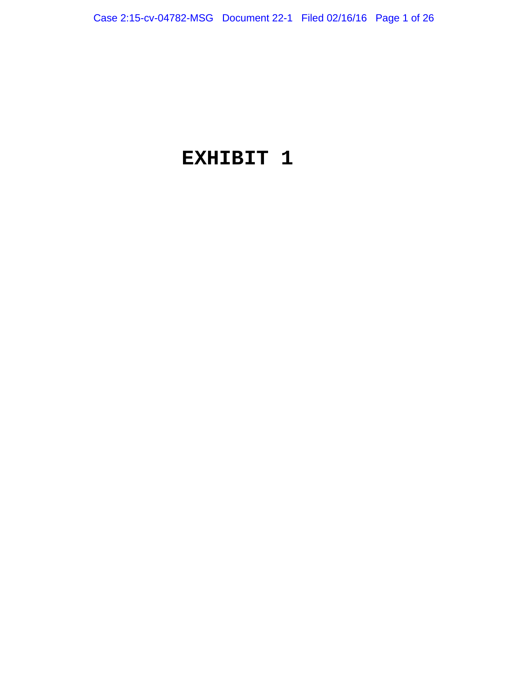# **EXHIBIT 1**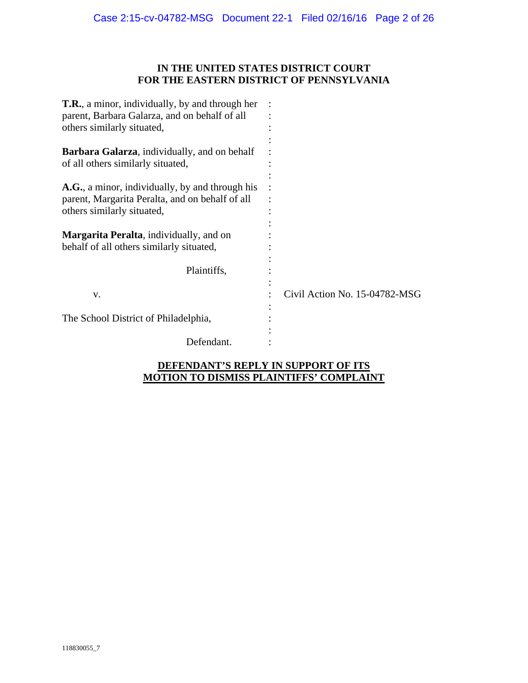## **IN THE UNITED STATES DISTRICT COURT FOR THE EASTERN DISTRICT OF PENNSYLVANIA**

| <b>T.R.</b> , a minor, individually, by and through her |                               |
|---------------------------------------------------------|-------------------------------|
| parent, Barbara Galarza, and on behalf of all           |                               |
| others similarly situated,                              |                               |
|                                                         |                               |
| Barbara Galarza, individually, and on behalf            |                               |
| of all others similarly situated,                       |                               |
|                                                         |                               |
| A.G., a minor, individually, by and through his         |                               |
| parent, Margarita Peralta, and on behalf of all         |                               |
| others similarly situated,                              |                               |
|                                                         |                               |
| <b>Margarita Peralta, individually, and on</b>          |                               |
| behalf of all others similarly situated,                |                               |
|                                                         |                               |
| Plaintiffs,                                             |                               |
|                                                         |                               |
| V.                                                      | Civil Action No. 15-04782-MSG |
|                                                         |                               |
| The School District of Philadelphia,                    |                               |
|                                                         |                               |
| Defendant.                                              |                               |
|                                                         |                               |

## **DEFENDANT'S REPLY IN SUPPORT OF ITS MOTION TO DISMISS PLAINTIFFS' COMPLAINT**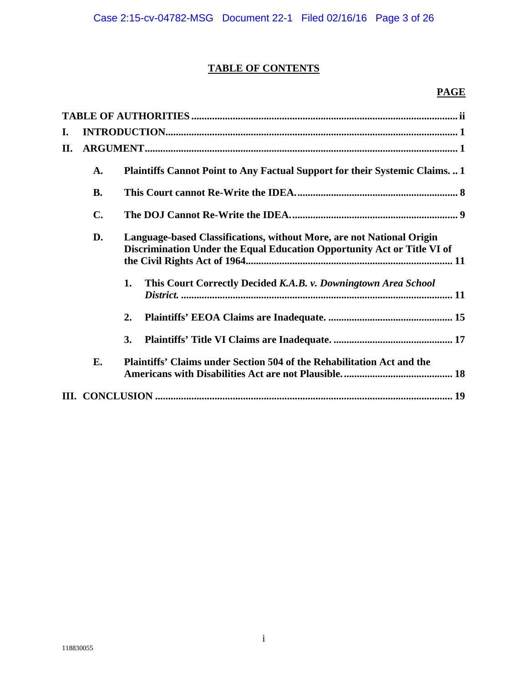# **TABLE OF CONTENTS**

# **PAGE**

| I. |           |                                                                                                                                                  |  |  |  |
|----|-----------|--------------------------------------------------------------------------------------------------------------------------------------------------|--|--|--|
| П. |           |                                                                                                                                                  |  |  |  |
|    | A.        | <b>Plaintiffs Cannot Point to Any Factual Support for their Systemic Claims1</b>                                                                 |  |  |  |
|    | <b>B.</b> |                                                                                                                                                  |  |  |  |
|    | C.        |                                                                                                                                                  |  |  |  |
|    | D.        | Language-based Classifications, without More, are not National Origin<br>Discrimination Under the Equal Education Opportunity Act or Title VI of |  |  |  |
|    |           | This Court Correctly Decided K.A.B. v. Downingtown Area School<br>1.                                                                             |  |  |  |
|    |           | 2.                                                                                                                                               |  |  |  |
|    |           | 3.                                                                                                                                               |  |  |  |
|    | E.        | Plaintiffs' Claims under Section 504 of the Rehabilitation Act and the                                                                           |  |  |  |
|    |           |                                                                                                                                                  |  |  |  |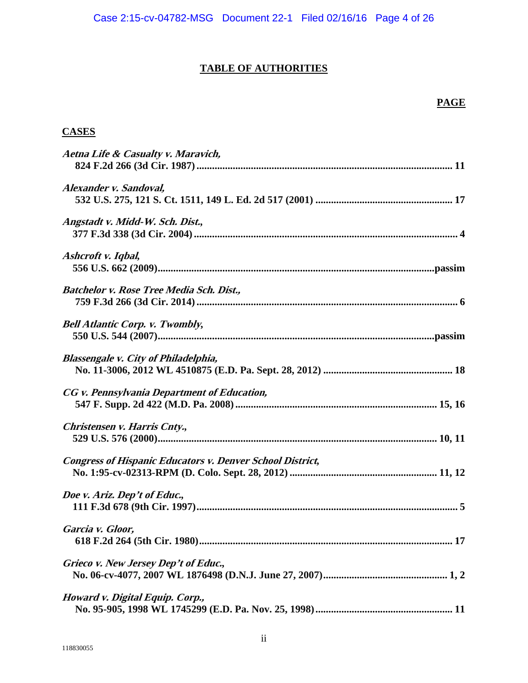# **TABLE OF AUTHORITIES**

# **PAGE**

# **CASES**

| Aetna Life & Casualty v. Maravich,                               |  |
|------------------------------------------------------------------|--|
|                                                                  |  |
| Alexander v. Sandoval,                                           |  |
|                                                                  |  |
| Angstadt v. Midd-W. Sch. Dist.,                                  |  |
|                                                                  |  |
| Ashcroft v. Iqbal,                                               |  |
|                                                                  |  |
| Batchelor v. Rose Tree Media Sch. Dist.,                         |  |
|                                                                  |  |
| <b>Bell Atlantic Corp. v. Twombly,</b>                           |  |
|                                                                  |  |
| <b>Blassengale v. City of Philadelphia,</b>                      |  |
|                                                                  |  |
| CG v. Pennsylvania Department of Education,                      |  |
|                                                                  |  |
| Christensen v. Harris Cnty.,                                     |  |
|                                                                  |  |
| <b>Congress of Hispanic Educators v. Denver School District,</b> |  |
|                                                                  |  |
| Doe v. Ariz. Dep't of Educ.,                                     |  |
|                                                                  |  |
| Garcia v. Gloor,                                                 |  |
|                                                                  |  |
| Grieco v. New Jersey Dep't of Educ.,                             |  |
|                                                                  |  |
| Howard v. Digital Equip. Corp.,                                  |  |
|                                                                  |  |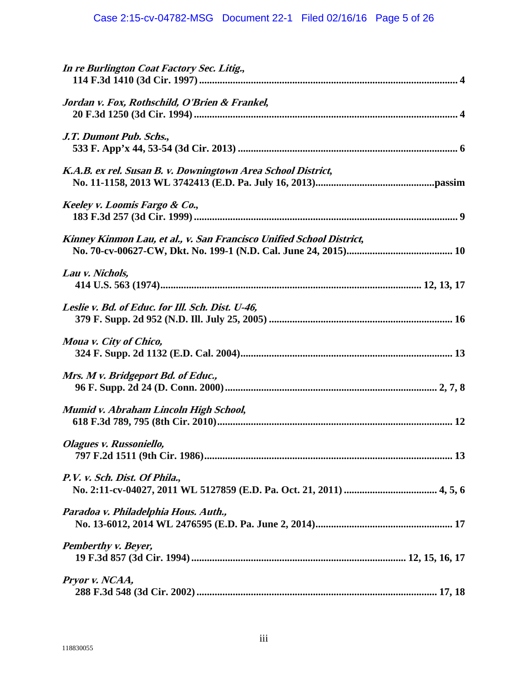| In re Burlington Coat Factory Sec. Litig.,                           |  |
|----------------------------------------------------------------------|--|
| Jordan v. Fox, Rothschild, O'Brien & Frankel,                        |  |
| J.T. Dumont Pub. Schs.,                                              |  |
| K.A.B. ex rel. Susan B. v. Downingtown Area School District,         |  |
| Keeley v. Loomis Fargo & Co.,                                        |  |
| Kinney Kinmon Lau, et al., v. San Francisco Unified School District, |  |
| Lau v. Nichols,                                                      |  |
| Leslie v. Bd. of Educ. for Ill. Sch. Dist. U-46,                     |  |
| Moua v. City of Chico,                                               |  |
| Mrs. M v. Bridgeport Bd. of Educ.,                                   |  |
| Mumid v. Abraham Lincoln High School,                                |  |
| Olagues v. Russoniello,                                              |  |
| P.V. v. Sch. Dist. Of Phila.,                                        |  |
| Paradoa v. Philadelphia Hous. Auth.,                                 |  |
| <b>Pemberthy v. Beyer,</b>                                           |  |
| Pryor v. NCAA,                                                       |  |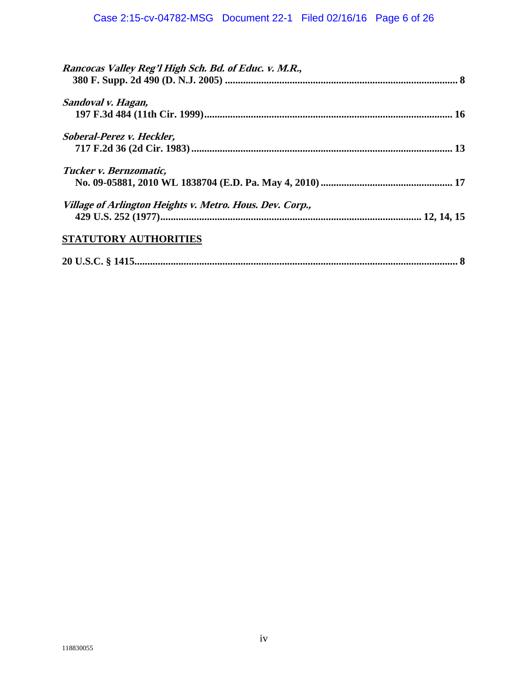| Rancocas Valley Reg'l High Sch. Bd. of Educ. v. M.R.,    |  |
|----------------------------------------------------------|--|
| Sandoval v. Hagan,                                       |  |
| <b>Soberal-Perez v. Heckler,</b>                         |  |
| Tucker v. Bernzomatic,                                   |  |
| Village of Arlington Heights v. Metro. Hous. Dev. Corp., |  |
| STATUTORY AUTHORITIES                                    |  |
|                                                          |  |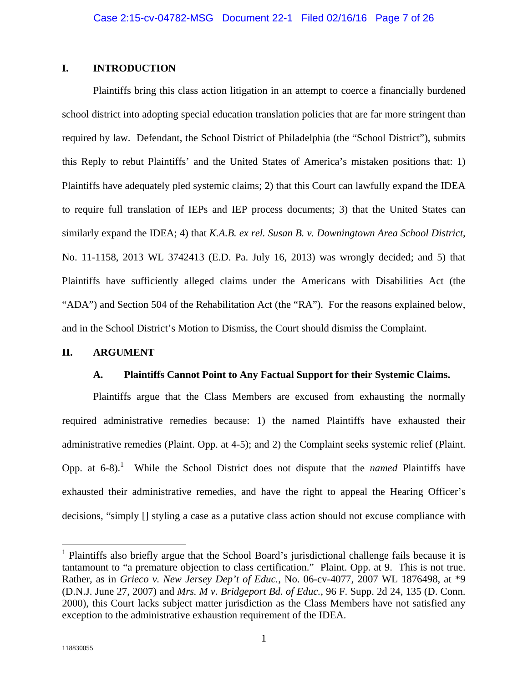## **I. INTRODUCTION**

Plaintiffs bring this class action litigation in an attempt to coerce a financially burdened school district into adopting special education translation policies that are far more stringent than required by law.Defendant, the School District of Philadelphia (the "School District"), submits this Reply to rebut Plaintiffs' and the United States of America's mistaken positions that: 1) Plaintiffs have adequately pled systemic claims; 2) that this Court can lawfully expand the IDEA to require full translation of IEPs and IEP process documents; 3) that the United States can similarly expand the IDEA; 4) that *K.A.B. ex rel. Susan B. v. Downingtown Area School District*, No. 11-1158, 2013 WL 3742413 (E.D. Pa. July 16, 2013) was wrongly decided; and 5) that Plaintiffs have sufficiently alleged claims under the Americans with Disabilities Act (the "ADA") and Section 504 of the Rehabilitation Act (the "RA").For the reasons explained below, and in the School District's Motion to Dismiss, the Court should dismiss the Complaint.

## **II. ARGUMENT**

## **A. Plaintiffs Cannot Point to Any Factual Support for their Systemic Claims.**

Plaintiffs argue that the Class Members are excused from exhausting the normally required administrative remedies because: 1) the named Plaintiffs have exhausted their administrative remedies (Plaint. Opp. at 4-5); and 2) the Complaint seeks systemic relief (Plaint. Opp. at  $6-8$ ).<sup>1</sup> While the School District does not dispute that the *named* Plaintiffs have exhausted their administrative remedies, and have the right to appeal the Hearing Officer's decisions, "simply [] styling a case as a putative class action should not excuse compliance with

 $\overline{a}$ 

<sup>&</sup>lt;sup>1</sup> Plaintiffs also briefly argue that the School Board's jurisdictional challenge fails because it is tantamount to "a premature objection to class certification." Plaint. Opp. at 9. This is not true. Rather, as in *Grieco v. New Jersey Dep't of Educ.*, No. 06-cv-4077, 2007 WL 1876498, at \*9 (D.N.J. June 27, 2007) and *Mrs. M v. Bridgeport Bd. of Educ.*, 96 F. Supp. 2d 24, 135 (D. Conn. 2000), this Court lacks subject matter jurisdiction as the Class Members have not satisfied any exception to the administrative exhaustion requirement of the IDEA.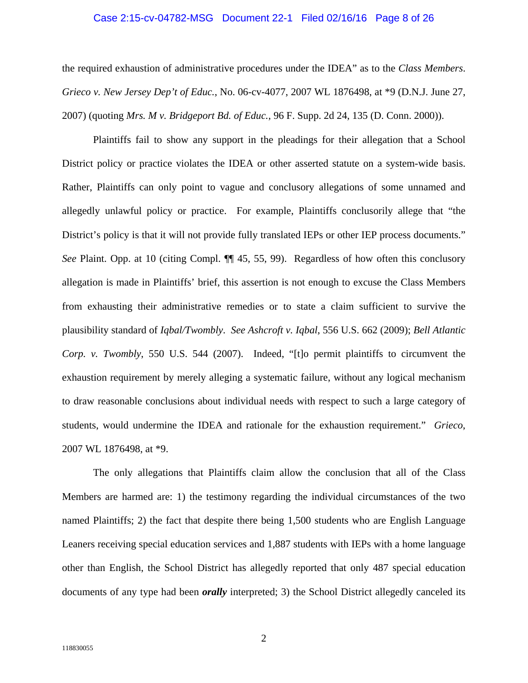## Case 2:15-cv-04782-MSG Document 22-1 Filed 02/16/16 Page 8 of 26

the required exhaustion of administrative procedures under the IDEA" as to the *Class Members*. *Grieco v. New Jersey Dep't of Educ.*, No. 06-cv-4077, 2007 WL 1876498, at \*9 (D.N.J. June 27, 2007) (quoting *Mrs. M v. Bridgeport Bd. of Educ.*, 96 F. Supp. 2d 24, 135 (D. Conn. 2000)).

Plaintiffs fail to show any support in the pleadings for their allegation that a School District policy or practice violates the IDEA or other asserted statute on a system-wide basis. Rather, Plaintiffs can only point to vague and conclusory allegations of some unnamed and allegedly unlawful policy or practice.For example, Plaintiffs conclusorily allege that "the District's policy is that it will not provide fully translated IEPs or other IEP process documents." *See* Plaint. Opp. at 10 (citing Compl. ¶¶ 45, 55, 99).Regardless of how often this conclusory allegation is made in Plaintiffs' brief, this assertion is not enough to excuse the Class Members from exhausting their administrative remedies or to state a claim sufficient to survive the plausibility standard of *Iqbal/Twombly*. *See Ashcroft v. Iqbal*, 556 U.S. 662 (2009); *Bell Atlantic Corp. v. Twombly*, 550 U.S. 544 (2007).Indeed, "[t]o permit plaintiffs to circumvent the exhaustion requirement by merely alleging a systematic failure, without any logical mechanism to draw reasonable conclusions about individual needs with respect to such a large category of students, would undermine the IDEA and rationale for the exhaustion requirement." *Grieco*, 2007 WL 1876498, at \*9.

The only allegations that Plaintiffs claim allow the conclusion that all of the Class Members are harmed are: 1) the testimony regarding the individual circumstances of the two named Plaintiffs; 2) the fact that despite there being 1,500 students who are English Language Leaners receiving special education services and 1,887 students with IEPs with a home language other than English, the School District has allegedly reported that only 487 special education documents of any type had been *orally* interpreted; 3) the School District allegedly canceled its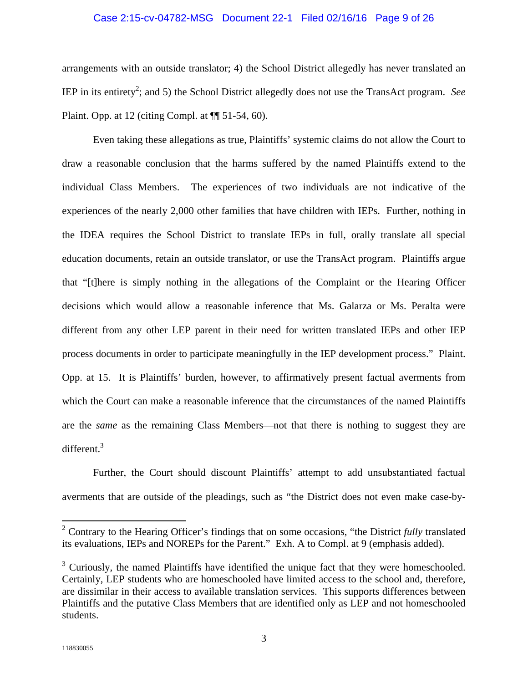## Case 2:15-cv-04782-MSG Document 22-1 Filed 02/16/16 Page 9 of 26

arrangements with an outside translator; 4) the School District allegedly has never translated an IEP in its entirety<sup>2</sup>; and 5) the School District allegedly does not use the TransAct program. See Plaint. Opp. at 12 (citing Compl. at ¶¶ 51-54, 60).

Even taking these allegations as true, Plaintiffs' systemic claims do not allow the Court to draw a reasonable conclusion that the harms suffered by the named Plaintiffs extend to the individual Class Members.The experiences of two individuals are not indicative of the experiences of the nearly 2,000 other families that have children with IEPs. Further, nothing in the IDEA requires the School District to translate IEPs in full, orally translate all special education documents, retain an outside translator, or use the TransAct program.Plaintiffs argue that "[t]here is simply nothing in the allegations of the Complaint or the Hearing Officer decisions which would allow a reasonable inference that Ms. Galarza or Ms. Peralta were different from any other LEP parent in their need for written translated IEPs and other IEP process documents in order to participate meaningfully in the IEP development process."Plaint. Opp. at 15.It is Plaintiffs' burden, however, to affirmatively present factual averments from which the Court can make a reasonable inference that the circumstances of the named Plaintiffs are the *same* as the remaining Class Members—not that there is nothing to suggest they are different.3

Further, the Court should discount Plaintiffs' attempt to add unsubstantiated factual averments that are outside of the pleadings, such as "the District does not even make case-by-

 $\overline{a}$ 

<sup>&</sup>lt;sup>2</sup> Contrary to the Hearing Officer's findings that on some occasions, "the District *fully* translated its evaluations, IEPs and NOREPs for the Parent." Exh. A to Compl. at 9 (emphasis added).

 $3$  Curiously, the named Plaintiffs have identified the unique fact that they were homeschooled. Certainly, LEP students who are homeschooled have limited access to the school and, therefore, are dissimilar in their access to available translation services. This supports differences between Plaintiffs and the putative Class Members that are identified only as LEP and not homeschooled students.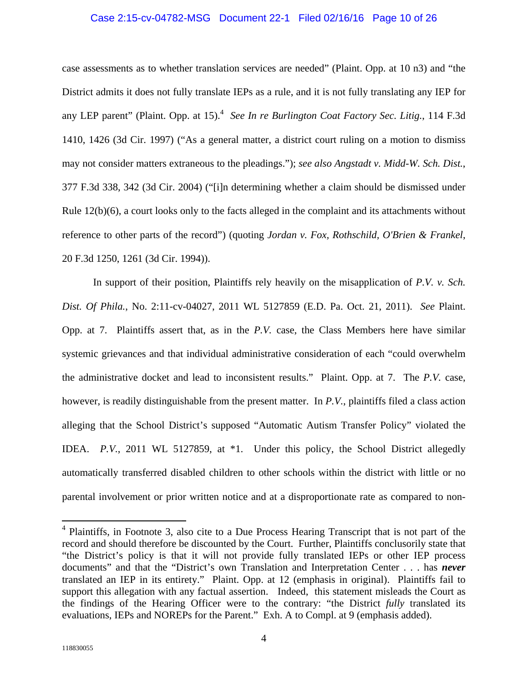## Case 2:15-cv-04782-MSG Document 22-1 Filed 02/16/16 Page 10 of 26

case assessments as to whether translation services are needed" (Plaint. Opp. at 10 n3) and "the District admits it does not fully translate IEPs as a rule, and it is not fully translating any IEP for any LEP parent" (Plaint. Opp. at 15).<sup>4</sup> See In re Burlington Coat Factory Sec. Litig., 114 F.3d 1410, 1426 (3d Cir. 1997) ("As a general matter, a district court ruling on a motion to dismiss may not consider matters extraneous to the pleadings."); *see also Angstadt v. Midd-W. Sch. Dist.*, 377 F.3d 338, 342 (3d Cir. 2004) ("[i]n determining whether a claim should be dismissed under Rule 12(b)(6), a court looks only to the facts alleged in the complaint and its attachments without reference to other parts of the record") (quoting *Jordan v. Fox, Rothschild, O'Brien & Frankel*, 20 F.3d 1250, 1261 (3d Cir. 1994)).

In support of their position, Plaintiffs rely heavily on the misapplication of *P.V. v. Sch. Dist. Of Phila.*, No. 2:11-cv-04027, 2011 WL 5127859 (E.D. Pa. Oct. 21, 2011). *See* Plaint. Opp. at 7.Plaintiffs assert that, as in the *P.V.* case, the Class Members here have similar systemic grievances and that individual administrative consideration of each "could overwhelm the administrative docket and lead to inconsistent results."Plaint. Opp. at 7.The *P.V.* case, however, is readily distinguishable from the present matter.In *P.V.*, plaintiffs filed a class action alleging that the School District's supposed "Automatic Autism Transfer Policy" violated the IDEA. *P.V.*, 2011 WL 5127859, at \*1.Under this policy, the School District allegedly automatically transferred disabled children to other schools within the district with little or no parental involvement or prior written notice and at a disproportionate rate as compared to non-

<sup>&</sup>lt;sup>4</sup> Plaintiffs, in Footnote 3, also cite to a Due Process Hearing Transcript that is not part of the record and should therefore be discounted by the Court. Further, Plaintiffs conclusorily state that "the District's policy is that it will not provide fully translated IEPs or other IEP process documents" and that the "District's own Translation and Interpretation Center . . . has *never*  translated an IEP in its entirety." Plaint. Opp. at 12 (emphasis in original). Plaintiffs fail to support this allegation with any factual assertion. Indeed, this statement misleads the Court as the findings of the Hearing Officer were to the contrary: "the District *fully* translated its evaluations, IEPs and NOREPs for the Parent." Exh. A to Compl. at 9 (emphasis added).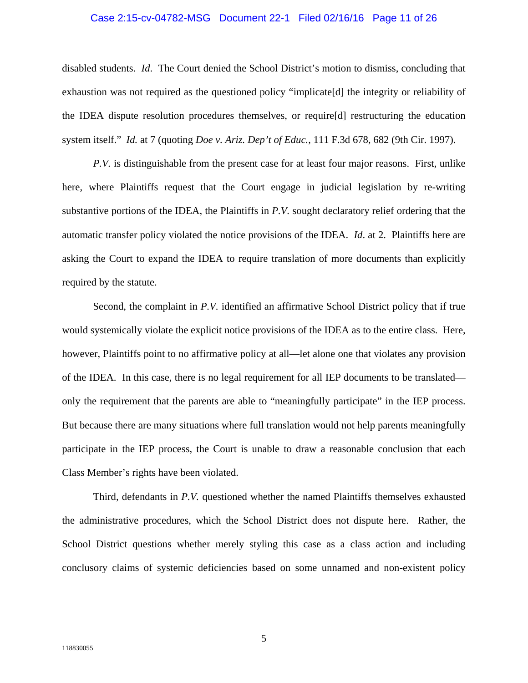#### Case 2:15-cv-04782-MSG Document 22-1 Filed 02/16/16 Page 11 of 26

disabled students. *Id*.The Court denied the School District's motion to dismiss, concluding that exhaustion was not required as the questioned policy "implicate[d] the integrity or reliability of the IDEA dispute resolution procedures themselves, or require[d] restructuring the education system itself." *Id.* at 7 (quoting *Doe v. Ariz. Dep't of Educ.*, 111 F.3d 678, 682 (9th Cir. 1997).

*P.V.* is distinguishable from the present case for at least four major reasons.First, unlike here, where Plaintiffs request that the Court engage in judicial legislation by re-writing substantive portions of the IDEA, the Plaintiffs in *P.V.* sought declaratory relief ordering that the automatic transfer policy violated the notice provisions of the IDEA. *Id*. at 2.Plaintiffs here are asking the Court to expand the IDEA to require translation of more documents than explicitly required by the statute.

Second, the complaint in *P.V.* identified an affirmative School District policy that if true would systemically violate the explicit notice provisions of the IDEA as to the entire class.Here, however, Plaintiffs point to no affirmative policy at all—let alone one that violates any provision of the IDEA.In this case, there is no legal requirement for all IEP documents to be translated only the requirement that the parents are able to "meaningfully participate" in the IEP process. But because there are many situations where full translation would not help parents meaningfully participate in the IEP process, the Court is unable to draw a reasonable conclusion that each Class Member's rights have been violated.

Third, defendants in *P.V.* questioned whether the named Plaintiffs themselves exhausted the administrative procedures, which the School District does not dispute here.Rather, the School District questions whether merely styling this case as a class action and including conclusory claims of systemic deficiencies based on some unnamed and non-existent policy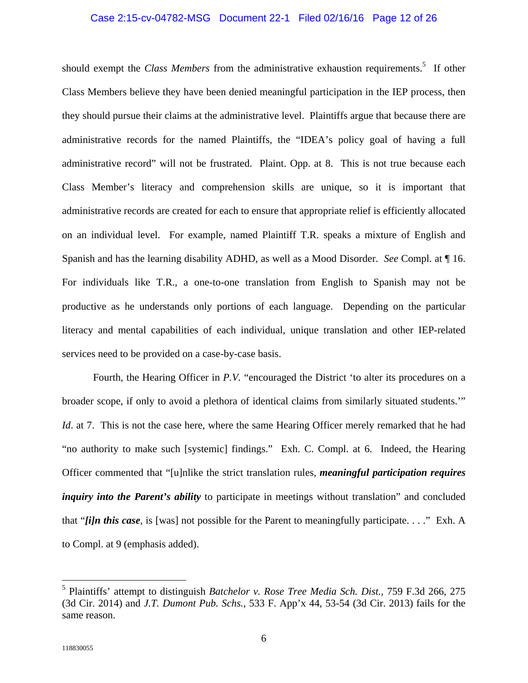## Case 2:15-cv-04782-MSG Document 22-1 Filed 02/16/16 Page 12 of 26

should exempt the *Class Members* from the administrative exhaustion requirements.<sup>5</sup> If other Class Members believe they have been denied meaningful participation in the IEP process, then they should pursue their claims at the administrative level.Plaintiffs argue that because there are administrative records for the named Plaintiffs, the "IDEA's policy goal of having a full administrative record" will not be frustrated.Plaint. Opp. at 8.This is not true because each Class Member's literacy and comprehension skills are unique, so it is important that administrative records are created for each to ensure that appropriate relief is efficiently allocated on an individual level.For example, named Plaintiff T.R. speaks a mixture of English and Spanish and has the learning disability ADHD, as well as a Mood Disorder. *See* Compl. at ¶ 16. For individuals like T.R., a one-to-one translation from English to Spanish may not be productive as he understands only portions of each language.Depending on the particular literacy and mental capabilities of each individual, unique translation and other IEP-related services need to be provided on a case-by-case basis.

Fourth, the Hearing Officer in P.V. "encouraged the District 'to alter its procedures on a broader scope, if only to avoid a plethora of identical claims from similarly situated students.'" *Id.* at 7. This is not the case here, where the same Hearing Officer merely remarked that he had "no authority to make such [systemic] findings."Exh. C. Compl. at 6.Indeed, the Hearing Officer commented that "[u]nlike the strict translation rules, *meaningful participation requires inquiry into the Parent's ability* to participate in meetings without translation" and concluded that "*[i]n this case*, is [was] not possible for the Parent to meaningfully participate. . . ."Exh. A to Compl. at 9 (emphasis added).

 $\overline{a}$ 

<sup>5</sup> Plaintiffs' attempt to distinguish *Batchelor v. Rose Tree Media Sch. Dist.*, 759 F.3d 266, 275 (3d Cir. 2014) and *J.T. Dumont Pub. Schs.*, 533 F. App'x 44, 53-54 (3d Cir. 2013) fails for the same reason.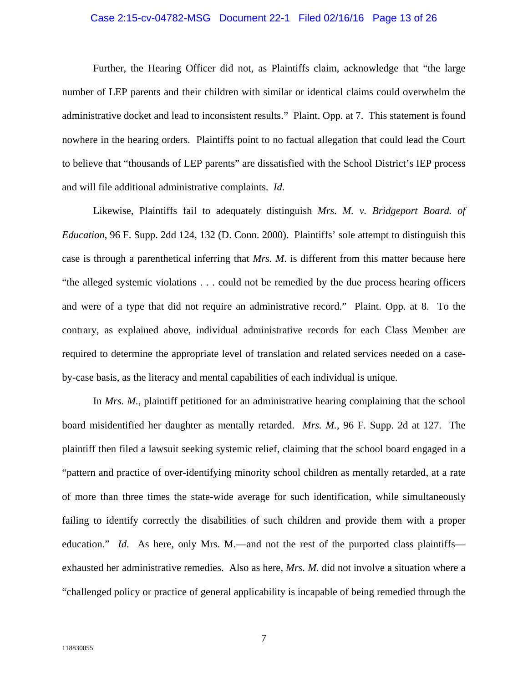## Case 2:15-cv-04782-MSG Document 22-1 Filed 02/16/16 Page 13 of 26

Further, the Hearing Officer did not, as Plaintiffs claim, acknowledge that "the large number of LEP parents and their children with similar or identical claims could overwhelm the administrative docket and lead to inconsistent results."Plaint. Opp. at 7.This statement is found nowhere in the hearing orders.Plaintiffs point to no factual allegation that could lead the Court to believe that "thousands of LEP parents" are dissatisfied with the School District's IEP process and will file additional administrative complaints. *Id*.

Likewise, Plaintiffs fail to adequately distinguish *Mrs. M. v. Bridgeport Board. of Education*, 96 F. Supp. 2dd 124, 132 (D. Conn. 2000).Plaintiffs' sole attempt to distinguish this case is through a parenthetical inferring that *Mrs. M*. is different from this matter because here "the alleged systemic violations . . . could not be remedied by the due process hearing officers and were of a type that did not require an administrative record."Plaint. Opp. at 8.To the contrary, as explained above, individual administrative records for each Class Member are required to determine the appropriate level of translation and related services needed on a caseby-case basis, as the literacy and mental capabilities of each individual is unique.

In *Mrs. M.*, plaintiff petitioned for an administrative hearing complaining that the school board misidentified her daughter as mentally retarded. *Mrs. M.*, 96 F. Supp. 2d at 127.The plaintiff then filed a lawsuit seeking systemic relief, claiming that the school board engaged in a "pattern and practice of over-identifying minority school children as mentally retarded, at a rate of more than three times the state-wide average for such identification, while simultaneously failing to identify correctly the disabilities of such children and provide them with a proper education." *Id.* As here, only Mrs. M.—and not the rest of the purported class plaintiffs exhausted her administrative remedies.Also as here, *Mrs. M.* did not involve a situation where a "challenged policy or practice of general applicability is incapable of being remedied through the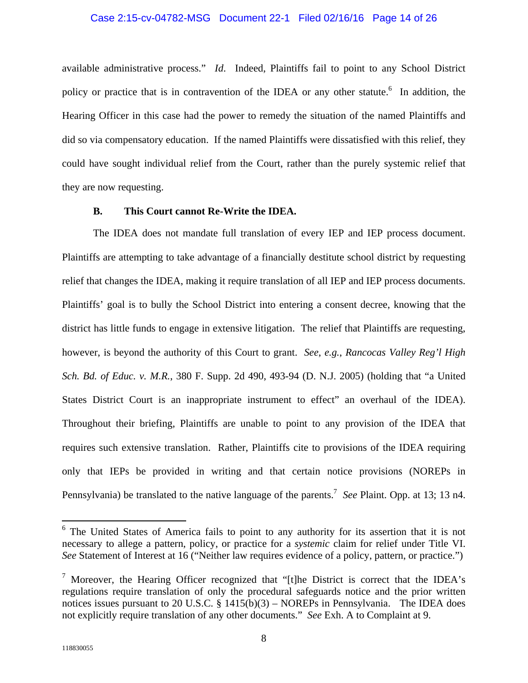## Case 2:15-cv-04782-MSG Document 22-1 Filed 02/16/16 Page 14 of 26

available administrative process." *Id*.Indeed, Plaintiffs fail to point to any School District policy or practice that is in contravention of the IDEA or any other statute.<sup>6</sup> In addition, the Hearing Officer in this case had the power to remedy the situation of the named Plaintiffs and did so via compensatory education.If the named Plaintiffs were dissatisfied with this relief, they could have sought individual relief from the Court, rather than the purely systemic relief that they are now requesting.

## **B. This Court cannot Re-Write the IDEA.**

The IDEA does not mandate full translation of every IEP and IEP process document. Plaintiffs are attempting to take advantage of a financially destitute school district by requesting relief that changes the IDEA, making it require translation of all IEP and IEP process documents. Plaintiffs' goal is to bully the School District into entering a consent decree, knowing that the district has little funds to engage in extensive litigation.The relief that Plaintiffs are requesting, however, is beyond the authority of this Court to grant. *See*, *e.g.*, *Rancocas Valley Reg'l High Sch. Bd. of Educ. v. M.R.*, 380 F. Supp. 2d 490, 493-94 (D. N.J. 2005) (holding that "a United States District Court is an inappropriate instrument to effect" an overhaul of the IDEA). Throughout their briefing, Plaintiffs are unable to point to any provision of the IDEA that requires such extensive translation.Rather, Plaintiffs cite to provisions of the IDEA requiring only that IEPs be provided in writing and that certain notice provisions (NOREPs in Pennsylvania) be translated to the native language of the parents.<sup>7</sup> See Plaint. Opp. at 13; 13 n4.

<sup>&</sup>lt;sup>6</sup> The United States of America fails to point to any authority for its assertion that it is not necessary to allege a pattern, policy, or practice for a *systemic* claim for relief under Title VI. *See* Statement of Interest at 16 ("Neither law requires evidence of a policy, pattern, or practice.")

<sup>&</sup>lt;sup>7</sup> Moreover, the Hearing Officer recognized that "[t]he District is correct that the IDEA's regulations require translation of only the procedural safeguards notice and the prior written notices issues pursuant to 20 U.S.C. § 1415(b)(3) – NOREPs in Pennsylvania. The IDEA does not explicitly require translation of any other documents." *See* Exh. A to Complaint at 9.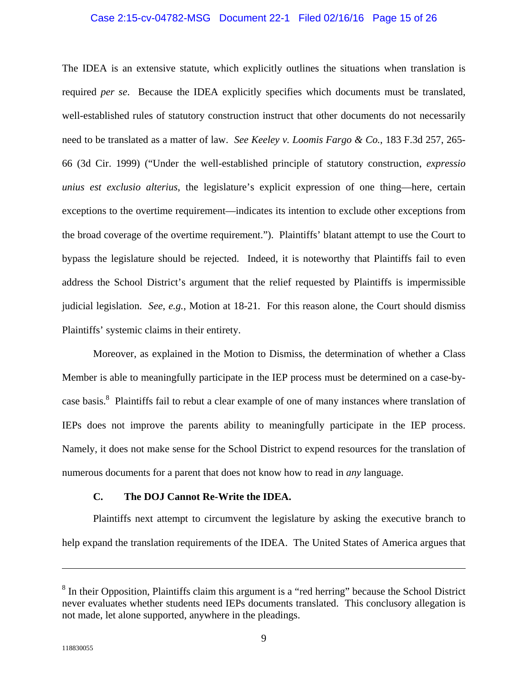#### Case 2:15-cv-04782-MSG Document 22-1 Filed 02/16/16 Page 15 of 26

The IDEA is an extensive statute, which explicitly outlines the situations when translation is required *per se*.Because the IDEA explicitly specifies which documents must be translated, well-established rules of statutory construction instruct that other documents do not necessarily need to be translated as a matter of law. *See Keeley v. Loomis Fargo & Co.*, 183 F.3d 257, 265- 66 (3d Cir. 1999) ("Under the well-established principle of statutory construction, *expressio unius est exclusio alterius*, the legislature's explicit expression of one thing—here, certain exceptions to the overtime requirement—indicates its intention to exclude other exceptions from the broad coverage of the overtime requirement.").Plaintiffs' blatant attempt to use the Court to bypass the legislature should be rejected.Indeed, it is noteworthy that Plaintiffs fail to even address the School District's argument that the relief requested by Plaintiffs is impermissible judicial legislation. *See*, *e.g.*, Motion at 18-21.For this reason alone, the Court should dismiss Plaintiffs' systemic claims in their entirety.

Moreover, as explained in the Motion to Dismiss, the determination of whether a Class Member is able to meaningfully participate in the IEP process must be determined on a case-bycase basis.<sup>8</sup> Plaintiffs fail to rebut a clear example of one of many instances where translation of IEPs does not improve the parents ability to meaningfully participate in the IEP process. Namely, it does not make sense for the School District to expend resources for the translation of numerous documents for a parent that does not know how to read in *any* language.

## **C. The DOJ Cannot Re-Write the IDEA.**

Plaintiffs next attempt to circumvent the legislature by asking the executive branch to help expand the translation requirements of the IDEA.The United States of America argues that

 $8$  In their Opposition, Plaintiffs claim this argument is a "red herring" because the School District never evaluates whether students need IEPs documents translated. This conclusory allegation is not made, let alone supported, anywhere in the pleadings.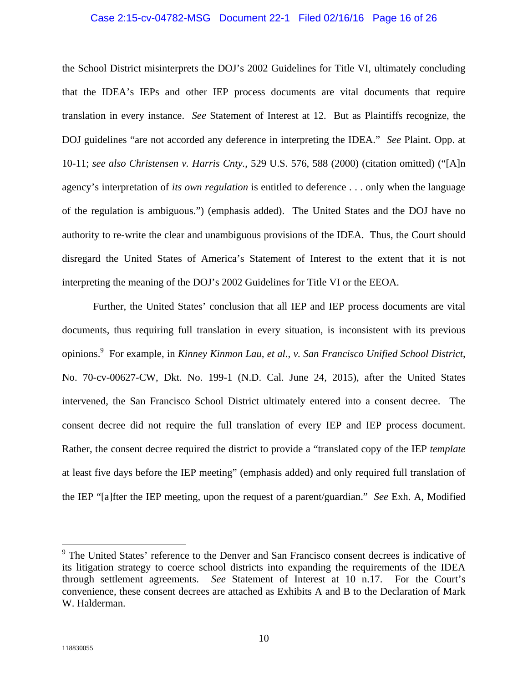#### Case 2:15-cv-04782-MSG Document 22-1 Filed 02/16/16 Page 16 of 26

the School District misinterprets the DOJ's 2002 Guidelines for Title VI, ultimately concluding that the IDEA's IEPs and other IEP process documents are vital documents that require translation in every instance. *See* Statement of Interest at 12.But as Plaintiffs recognize, the DOJ guidelines "are not accorded any deference in interpreting the IDEA." *See* Plaint. Opp. at 10-11; *see also Christensen v. Harris Cnty.*, 529 U.S. 576, 588 (2000) (citation omitted) ("[A]n agency's interpretation of *its own regulation* is entitled to deference . . . only when the language of the regulation is ambiguous.") (emphasis added).The United States and the DOJ have no authority to re-write the clear and unambiguous provisions of the IDEA.Thus, the Court should disregard the United States of America's Statement of Interest to the extent that it is not interpreting the meaning of the DOJ's 2002 Guidelines for Title VI or the EEOA.

Further, the United States' conclusion that all IEP and IEP process documents are vital documents, thus requiring full translation in every situation, is inconsistent with its previous opinions.9 For example, in *Kinney Kinmon Lau, et al., v. San Francisco Unified School District*, No. 70-cv-00627-CW, Dkt. No. 199-1 (N.D. Cal. June 24, 2015), after the United States intervened, the San Francisco School District ultimately entered into a consent decree.The consent decree did not require the full translation of every IEP and IEP process document. Rather, the consent decree required the district to provide a "translated copy of the IEP *template*  at least five days before the IEP meeting" (emphasis added) and only required full translation of the IEP "[a]fter the IEP meeting, upon the request of a parent/guardian." *See* Exh. A, Modified

 $\overline{a}$ 

<sup>&</sup>lt;sup>9</sup> The United States' reference to the Denver and San Francisco consent decrees is indicative of its litigation strategy to coerce school districts into expanding the requirements of the IDEA through settlement agreements. *See* Statement of Interest at 10 n.17. For the Court's convenience, these consent decrees are attached as Exhibits A and B to the Declaration of Mark W. Halderman.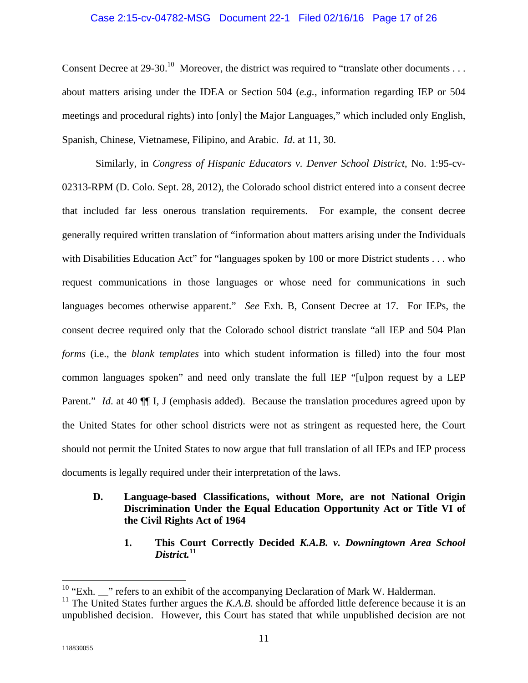## Case 2:15-cv-04782-MSG Document 22-1 Filed 02/16/16 Page 17 of 26

Consent Decree at 29-30.<sup>10</sup> Moreover, the district was required to "translate other documents . . . about matters arising under the IDEA or Section 504 (*e.g.*, information regarding IEP or 504 meetings and procedural rights) into [only] the Major Languages," which included only English, Spanish, Chinese, Vietnamese, Filipino, and Arabic. *Id*. at 11, 30.

Similarly, in *Congress of Hispanic Educators v. Denver School District*, No. 1:95-cv-02313-RPM (D. Colo. Sept. 28, 2012), the Colorado school district entered into a consent decree that included far less onerous translation requirements.For example, the consent decree generally required written translation of "information about matters arising under the Individuals with Disabilities Education Act" for "languages spoken by 100 or more District students . . . who request communications in those languages or whose need for communications in such languages becomes otherwise apparent." *See* Exh. B, Consent Decree at 17.For IEPs, the consent decree required only that the Colorado school district translate "all IEP and 504 Plan *forms* (i.e., the *blank templates* into which student information is filled) into the four most common languages spoken" and need only translate the full IEP "[u]pon request by a LEP Parent." *Id*. at 40 ¶¶ I, J (emphasis added).Because the translation procedures agreed upon by the United States for other school districts were not as stringent as requested here, the Court should not permit the United States to now argue that full translation of all IEPs and IEP process documents is legally required under their interpretation of the laws.

## **D. Language-based Classifications, without More, are not National Origin Discrimination Under the Equal Education Opportunity Act or Title VI of the Civil Rights Act of 1964**

**1. This Court Correctly Decided** *K.A.B. v. Downingtown Area School District.***<sup>11</sup>**

 $\overline{a}$ 

 $10$  "Exh.  $\frac{10}{10}$ " refers to an exhibit of the accompanying Declaration of Mark W. Halderman.

<sup>&</sup>lt;sup>11</sup> The United States further argues the *K.A.B.* should be afforded little deference because it is an unpublished decision. However, this Court has stated that while unpublished decision are not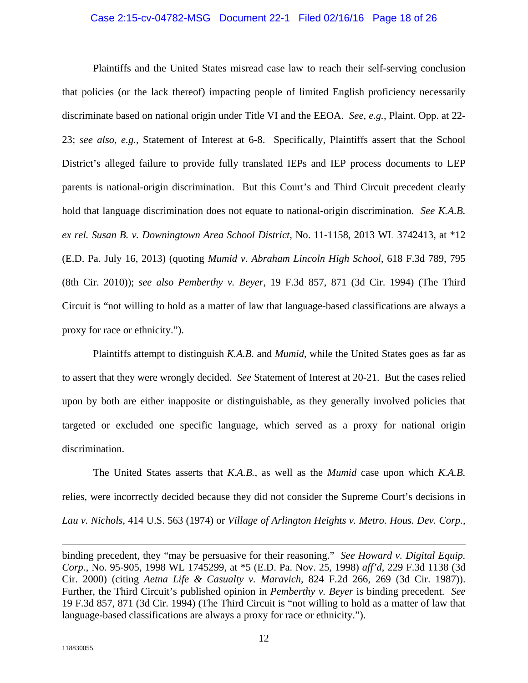## Case 2:15-cv-04782-MSG Document 22-1 Filed 02/16/16 Page 18 of 26

Plaintiffs and the United States misread case law to reach their self-serving conclusion that policies (or the lack thereof) impacting people of limited English proficiency necessarily discriminate based on national origin under Title VI and the EEOA. *See*, *e.g.*, Plaint. Opp. at 22- 23; *see also*, *e.g.*, Statement of Interest at 6-8.Specifically, Plaintiffs assert that the School District's alleged failure to provide fully translated IEPs and IEP process documents to LEP parents is national-origin discrimination.But this Court's and Third Circuit precedent clearly hold that language discrimination does not equate to national-origin discrimination. *See K.A.B. ex rel. Susan B. v. Downingtown Area School District*, No. 11-1158, 2013 WL 3742413, at \*12 (E.D. Pa. July 16, 2013) (quoting *Mumid v. Abraham Lincoln High School*, 618 F.3d 789, 795 (8th Cir. 2010)); *see also Pemberthy v. Beyer*, 19 F.3d 857, 871 (3d Cir. 1994) (The Third Circuit is "not willing to hold as a matter of law that language-based classifications are always a proxy for race or ethnicity.").

Plaintiffs attempt to distinguish *K.A.B.* and *Mumid*, while the United States goes as far as to assert that they were wrongly decided. *See* Statement of Interest at 20-21.But the cases relied upon by both are either inapposite or distinguishable, as they generally involved policies that targeted or excluded one specific language, which served as a proxy for national origin discrimination.

The United States asserts that *K.A.B.*, as well as the *Mumid* case upon which *K.A.B.*  relies, were incorrectly decided because they did not consider the Supreme Court's decisions in *Lau v. Nichols*, 414 U.S. 563 (1974) or *Village of Arlington Heights v. Metro. Hous. Dev. Corp.*,

<u>.</u>

binding precedent, they "may be persuasive for their reasoning." *See Howard v. Digital Equip. Corp.*, No. 95-905, 1998 WL 1745299, at \*5 (E.D. Pa. Nov. 25, 1998) *aff'd*, 229 F.3d 1138 (3d Cir. 2000) (citing *Aetna Life & Casualty v. Maravich*, 824 F.2d 266, 269 (3d Cir. 1987)). Further, the Third Circuit's published opinion in *Pemberthy v. Beyer* is binding precedent. *See*  19 F.3d 857, 871 (3d Cir. 1994) (The Third Circuit is "not willing to hold as a matter of law that language-based classifications are always a proxy for race or ethnicity.").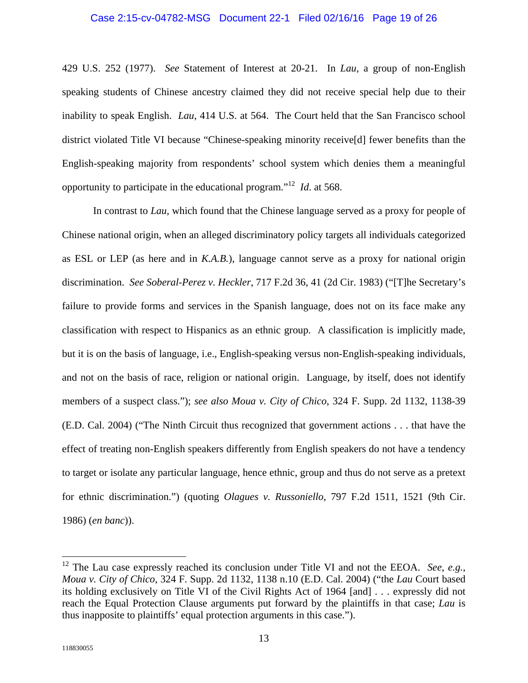#### Case 2:15-cv-04782-MSG Document 22-1 Filed 02/16/16 Page 19 of 26

429 U.S. 252 (1977). *See* Statement of Interest at 20-21.In *Lau*, a group of non-English speaking students of Chinese ancestry claimed they did not receive special help due to their inability to speak English. *Lau*, 414 U.S. at 564.The Court held that the San Francisco school district violated Title VI because "Chinese-speaking minority receive[d] fewer benefits than the English-speaking majority from respondents' school system which denies them a meaningful opportunity to participate in the educational program."<sup>12</sup> *Id*. at 568.

In contrast to *Lau*, which found that the Chinese language served as a proxy for people of Chinese national origin, when an alleged discriminatory policy targets all individuals categorized as ESL or LEP (as here and in *K.A.B.*), language cannot serve as a proxy for national origin discrimination. *See Soberal-Perez v. Heckler*, 717 F.2d 36, 41 (2d Cir. 1983) ("[T]he Secretary's failure to provide forms and services in the Spanish language, does not on its face make any classification with respect to Hispanics as an ethnic group.A classification is implicitly made, but it is on the basis of language, i.e., English-speaking versus non-English-speaking individuals, and not on the basis of race, religion or national origin.Language, by itself, does not identify members of a suspect class."); *see also Moua v. City of Chico*, 324 F. Supp. 2d 1132, 1138-39 (E.D. Cal. 2004) ("The Ninth Circuit thus recognized that government actions . . . that have the effect of treating non-English speakers differently from English speakers do not have a tendency to target or isolate any particular language, hence ethnic, group and thus do not serve as a pretext for ethnic discrimination.") (quoting *Olagues v. Russoniello*, 797 F.2d 1511, 1521 (9th Cir. 1986) (*en banc*)).

<sup>12</sup> The Lau case expressly reached its conclusion under Title VI and not the EEOA. *See*, *e.g.*, *Moua v. City of Chico*, 324 F. Supp. 2d 1132, 1138 n.10 (E.D. Cal. 2004) ("the *Lau* Court based its holding exclusively on Title VI of the Civil Rights Act of 1964 [and] . . . expressly did not reach the Equal Protection Clause arguments put forward by the plaintiffs in that case; *Lau* is thus inapposite to plaintiffs' equal protection arguments in this case.").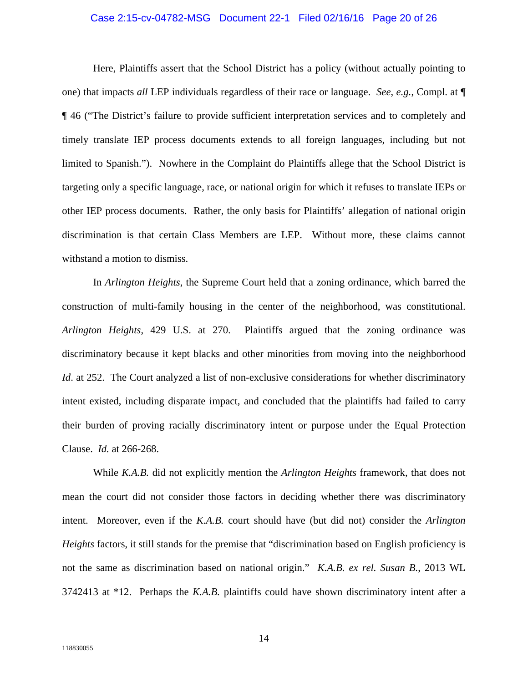#### Case 2:15-cv-04782-MSG Document 22-1 Filed 02/16/16 Page 20 of 26

Here, Plaintiffs assert that the School District has a policy (without actually pointing to one) that impacts *all* LEP individuals regardless of their race or language. *See*, *e.g.*, Compl. at ¶ ¶ 46 ("The District's failure to provide sufficient interpretation services and to completely and timely translate IEP process documents extends to all foreign languages, including but not limited to Spanish.").Nowhere in the Complaint do Plaintiffs allege that the School District is targeting only a specific language, race, or national origin for which it refuses to translate IEPs or other IEP process documents.Rather, the only basis for Plaintiffs' allegation of national origin discrimination is that certain Class Members are LEP.Without more, these claims cannot withstand a motion to dismiss.

In *Arlington Heights*, the Supreme Court held that a zoning ordinance, which barred the construction of multi-family housing in the center of the neighborhood, was constitutional. *Arlington Heights*, 429 U.S. at 270.Plaintiffs argued that the zoning ordinance was discriminatory because it kept blacks and other minorities from moving into the neighborhood *Id.* at 252. The Court analyzed a list of non-exclusive considerations for whether discriminatory intent existed, including disparate impact, and concluded that the plaintiffs had failed to carry their burden of proving racially discriminatory intent or purpose under the Equal Protection Clause. *Id.* at 266-268.

While *K.A.B.* did not explicitly mention the *Arlington Heights* framework, that does not mean the court did not consider those factors in deciding whether there was discriminatory intent.Moreover, even if the *K.A.B.* court should have (but did not) consider the *Arlington Heights* factors, it still stands for the premise that "discrimination based on English proficiency is not the same as discrimination based on national origin." *K.A.B. ex rel. Susan B.*, 2013 WL 3742413 at \*12.Perhaps the *K.A.B.* plaintiffs could have shown discriminatory intent after a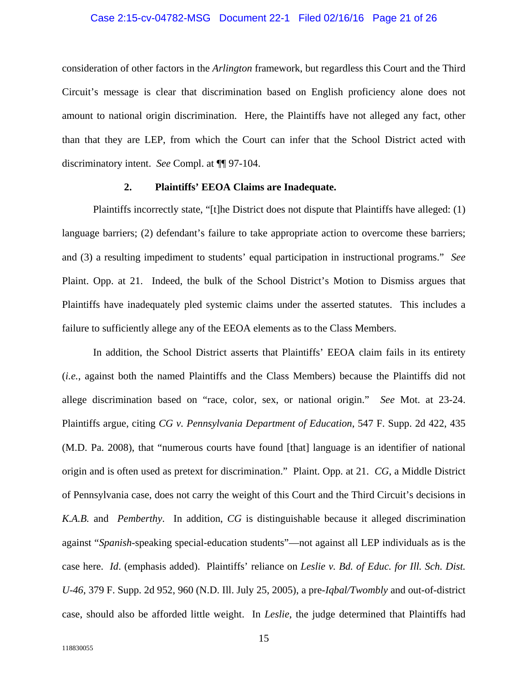## Case 2:15-cv-04782-MSG Document 22-1 Filed 02/16/16 Page 21 of 26

consideration of other factors in the *Arlington* framework, but regardless this Court and the Third Circuit's message is clear that discrimination based on English proficiency alone does not amount to national origin discrimination.Here, the Plaintiffs have not alleged any fact, other than that they are LEP, from which the Court can infer that the School District acted with discriminatory intent. *See* Compl. at ¶¶ 97-104.

## **2. Plaintiffs' EEOA Claims are Inadequate.**

Plaintiffs incorrectly state, "[t]he District does not dispute that Plaintiffs have alleged: (1) language barriers; (2) defendant's failure to take appropriate action to overcome these barriers; and (3) a resulting impediment to students' equal participation in instructional programs." *See*  Plaint. Opp. at 21.Indeed, the bulk of the School District's Motion to Dismiss argues that Plaintiffs have inadequately pled systemic claims under the asserted statutes.This includes a failure to sufficiently allege any of the EEOA elements as to the Class Members.

In addition, the School District asserts that Plaintiffs' EEOA claim fails in its entirety (*i.e.*, against both the named Plaintiffs and the Class Members) because the Plaintiffs did not allege discrimination based on "race, color, sex, or national origin." *See* Mot. at 23-24. Plaintiffs argue, citing *CG v. Pennsylvania Department of Education*, 547 F. Supp. 2d 422, 435 (M.D. Pa. 2008), that "numerous courts have found [that] language is an identifier of national origin and is often used as pretext for discrimination."Plaint. Opp. at 21. *CG*, a Middle District of Pennsylvania case, does not carry the weight of this Court and the Third Circuit's decisions in *K.A.B.* and *Pemberthy*.In addition, *CG* is distinguishable because it alleged discrimination against "*Spanish*-speaking special-education students"—not against all LEP individuals as is the case here. *Id*. (emphasis added).Plaintiffs' reliance on *Leslie v. Bd. of Educ. for Ill. Sch. Dist. U-46*, 379 F. Supp. 2d 952, 960 (N.D. Ill. July 25, 2005), a pre-*Iqbal/Twombly* and out-of-district case, should also be afforded little weight.In *Leslie*, the judge determined that Plaintiffs had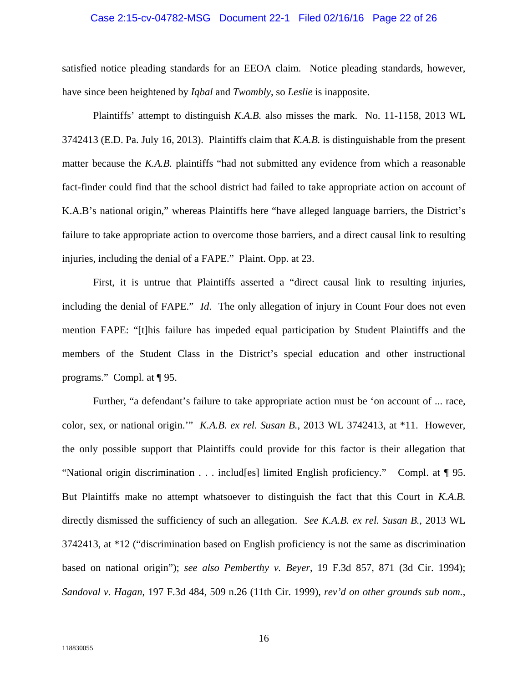## Case 2:15-cv-04782-MSG Document 22-1 Filed 02/16/16 Page 22 of 26

satisfied notice pleading standards for an EEOA claim.Notice pleading standards, however, have since been heightened by *Iqbal* and *Twombly*, so *Leslie* is inapposite.

Plaintiffs' attempt to distinguish *K.A.B.* also misses the mark.No. 11-1158, 2013 WL 3742413 (E.D. Pa. July 16, 2013).Plaintiffs claim that *K.A.B.* is distinguishable from the present matter because the *K.A.B.* plaintiffs "had not submitted any evidence from which a reasonable fact-finder could find that the school district had failed to take appropriate action on account of K.A.B's national origin," whereas Plaintiffs here "have alleged language barriers, the District's failure to take appropriate action to overcome those barriers, and a direct causal link to resulting injuries, including the denial of a FAPE."Plaint. Opp. at 23.

First, it is untrue that Plaintiffs asserted a "direct causal link to resulting injuries, including the denial of FAPE." *Id*.The only allegation of injury in Count Four does not even mention FAPE: "[t]his failure has impeded equal participation by Student Plaintiffs and the members of the Student Class in the District's special education and other instructional programs."Compl. at ¶ 95.

Further, "a defendant's failure to take appropriate action must be 'on account of ... race, color, sex, or national origin.'" *K.A.B. ex rel. Susan B.*, 2013 WL 3742413, at \*11.However, the only possible support that Plaintiffs could provide for this factor is their allegation that "National origin discrimination . . . includ[es] limited English proficiency."Compl. at ¶ 95. But Plaintiffs make no attempt whatsoever to distinguish the fact that this Court in *K.A.B.*  directly dismissed the sufficiency of such an allegation. *See K.A.B. ex rel. Susan B.*, 2013 WL 3742413, at \*12 ("discrimination based on English proficiency is not the same as discrimination based on national origin"); *see also Pemberthy v. Beyer*, 19 F.3d 857, 871 (3d Cir. 1994); *Sandoval v. Hagan*, 197 F.3d 484, 509 n.26 (11th Cir. 1999), *rev'd on other grounds sub nom.*,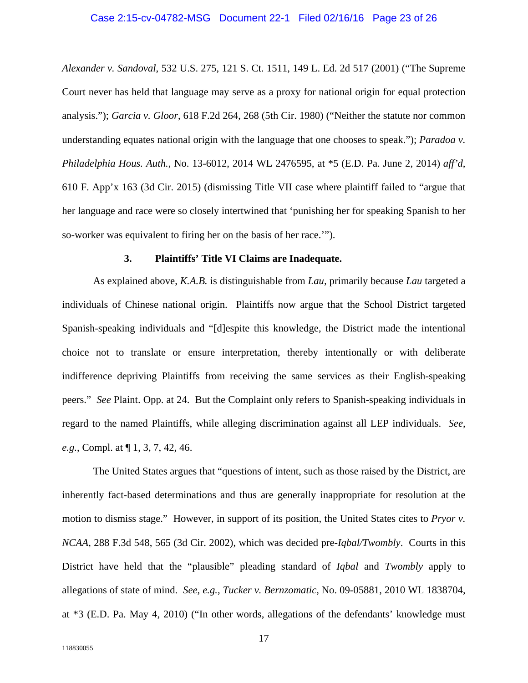## Case 2:15-cv-04782-MSG Document 22-1 Filed 02/16/16 Page 23 of 26

*Alexander v. Sandoval*, 532 U.S. 275, 121 S. Ct. 1511, 149 L. Ed. 2d 517 (2001) ("The Supreme Court never has held that language may serve as a proxy for national origin for equal protection analysis."); *Garcia v. Gloor*, 618 F.2d 264, 268 (5th Cir. 1980) ("Neither the statute nor common understanding equates national origin with the language that one chooses to speak."); *Paradoa v. Philadelphia Hous. Auth.*, No. 13-6012, 2014 WL 2476595, at \*5 (E.D. Pa. June 2, 2014) *aff'd*, 610 F. App'x 163 (3d Cir. 2015) (dismissing Title VII case where plaintiff failed to "argue that her language and race were so closely intertwined that 'punishing her for speaking Spanish to her so-worker was equivalent to firing her on the basis of her race.'").

#### **3. Plaintiffs' Title VI Claims are Inadequate.**

As explained above, *K.A.B.* is distinguishable from *Lau,* primarily because *Lau* targeted a individuals of Chinese national origin.Plaintiffs now argue that the School District targeted Spanish-speaking individuals and "[d]espite this knowledge, the District made the intentional choice not to translate or ensure interpretation, thereby intentionally or with deliberate indifference depriving Plaintiffs from receiving the same services as their English-speaking peers." *See* Plaint. Opp. at 24.But the Complaint only refers to Spanish-speaking individuals in regard to the named Plaintiffs, while alleging discrimination against all LEP individuals. *See*, *e.g.*, Compl. at ¶ 1, 3, 7, 42, 46.

The United States argues that "questions of intent, such as those raised by the District, are inherently fact-based determinations and thus are generally inappropriate for resolution at the motion to dismiss stage."However, in support of its position, the United States cites to *Pryor v. NCAA*, 288 F.3d 548, 565 (3d Cir. 2002), which was decided pre-*Iqbal/Twombly*.Courts in this District have held that the "plausible" pleading standard of *Iqbal* and *Twombly* apply to allegations of state of mind. *See*, *e.g.*, *Tucker v. Bernzomatic*, No. 09-05881, 2010 WL 1838704, at \*3 (E.D. Pa. May 4, 2010) ("In other words, allegations of the defendants' knowledge must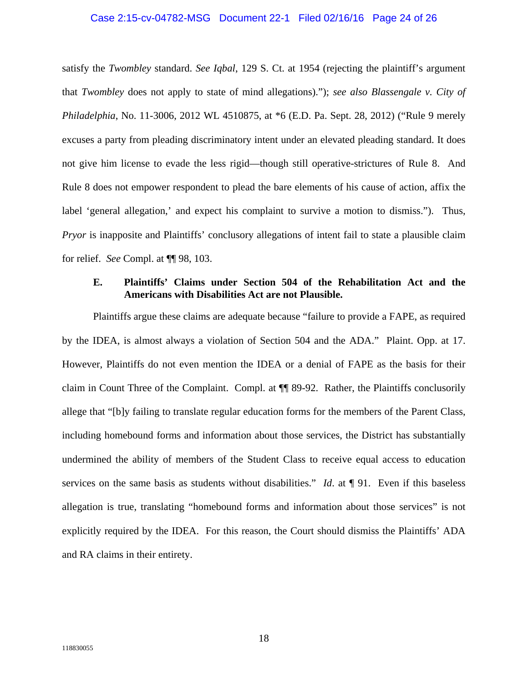#### Case 2:15-cv-04782-MSG Document 22-1 Filed 02/16/16 Page 24 of 26

satisfy the *Twombley* standard. *See Iqbal*, 129 S. Ct. at 1954 (rejecting the plaintiff's argument that *Twombley* does not apply to state of mind allegations)."); *see also Blassengale v. City of Philadelphia*, No. 11-3006, 2012 WL 4510875, at \*6 (E.D. Pa. Sept. 28, 2012) ("Rule 9 merely excuses a party from pleading discriminatory intent under an elevated pleading standard. It does not give him license to evade the less rigid—though still operative-strictures of Rule 8.And Rule 8 does not empower respondent to plead the bare elements of his cause of action, affix the label 'general allegation,' and expect his complaint to survive a motion to dismiss.").Thus, *Pryor* is inapposite and Plaintiffs' conclusory allegations of intent fail to state a plausible claim for relief. *See* Compl. at ¶¶ 98, 103.

## **E. Plaintiffs' Claims under Section 504 of the Rehabilitation Act and the Americans with Disabilities Act are not Plausible.**

Plaintiffs argue these claims are adequate because "failure to provide a FAPE, as required by the IDEA, is almost always a violation of Section 504 and the ADA."Plaint. Opp. at 17. However, Plaintiffs do not even mention the IDEA or a denial of FAPE as the basis for their claim in Count Three of the Complaint.Compl. at ¶¶ 89-92.Rather, the Plaintiffs conclusorily allege that "[b]y failing to translate regular education forms for the members of the Parent Class, including homebound forms and information about those services, the District has substantially undermined the ability of members of the Student Class to receive equal access to education services on the same basis as students without disabilities." *Id*. at ¶ 91.Even if this baseless allegation is true, translating "homebound forms and information about those services" is not explicitly required by the IDEA.For this reason, the Court should dismiss the Plaintiffs' ADA and RA claims in their entirety.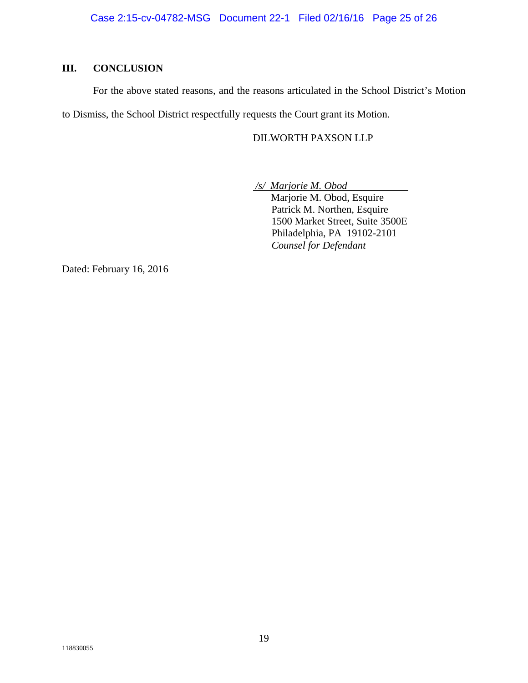# **III. CONCLUSION**

For the above stated reasons, and the reasons articulated in the School District's Motion

to Dismiss, the School District respectfully requests the Court grant its Motion.

## DILWORTH PAXSON LLP

 */s/ Marjorie M. Obod* 

 Marjorie M. Obod, Esquire Patrick M. Northen, Esquire 1500 Market Street, Suite 3500E Philadelphia, PA19102-2101 *Counsel for Defendant* 

Dated: February 16, 2016